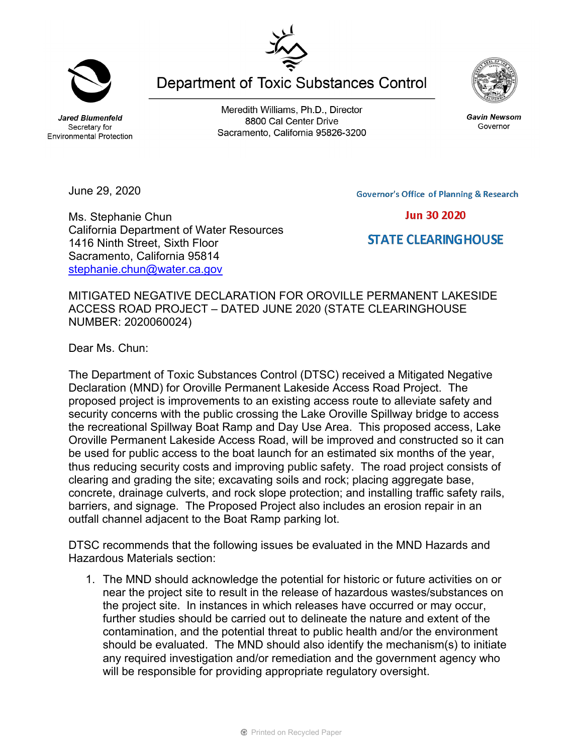**Jared Blumenfeld** Secretary for **Environmental Protection** 

Meredith Williams, Ph.D., Director 8800 Cal Center Drive Sacramento, California 95826-3200

**Department of Toxic Substances Control** 

June 29, 2020

Ms. Stephanie Chun California Department of Water Resources 1416 Ninth Street, Sixth Floor Sacramento, California 95814 [stephanie.chun@water.ca.gov](mailto:stephanie.chun@water.ca.gov)

MITIGATED NEGATIVE DECLARATION FOR OROVILLE PERMANENT LAKESIDE ACCESS ROAD PROJECT – DATED JUNE 2020 (STATE CLEARINGHOUSE NUMBER: 2020060024)

Dear Ms. Chun:

The Department of Toxic Substances Control (DTSC) received a Mitigated Negative Declaration (MND) for Oroville Permanent Lakeside Access Road Project. The proposed project is improvements to an existing access route to alleviate safety and security concerns with the public crossing the Lake Oroville Spillway bridge to access the recreational Spillway Boat Ramp and Day Use Area. This proposed access, Lake Oroville Permanent Lakeside Access Road, will be improved and constructed so it can be used for public access to the boat launch for an estimated six months of the year, thus reducing security costs and improving public safety. The road project consists of clearing and grading the site; excavating soils and rock; placing aggregate base, concrete, drainage culverts, and rock slope protection; and installing traffic safety rails, barriers, and signage. The Proposed Project also includes an erosion repair in an outfall channel adjacent to the Boat Ramp parking lot.

DTSC recommends that the following issues be evaluated in the MND Hazards and Hazardous Materials section:

1. The MND should acknowledge the potential for historic or future activities on or near the project site to result in the release of hazardous wastes/substances on the project site. In instances in which releases have occurred or may occur, further studies should be carried out to delineate the nature and extent of the contamination, and the potential threat to public health and/or the environment should be evaluated. The MND should also identify the mechanism(s) to initiate any required investigation and/or remediation and the government agency who will be responsible for providing appropriate regulatory oversight.





**Gavin Newsom** 



Governor

**Jun 30 2020** 

**Governor's Office of Planning & Research** 

## **STATE CLEARINGHOUSE**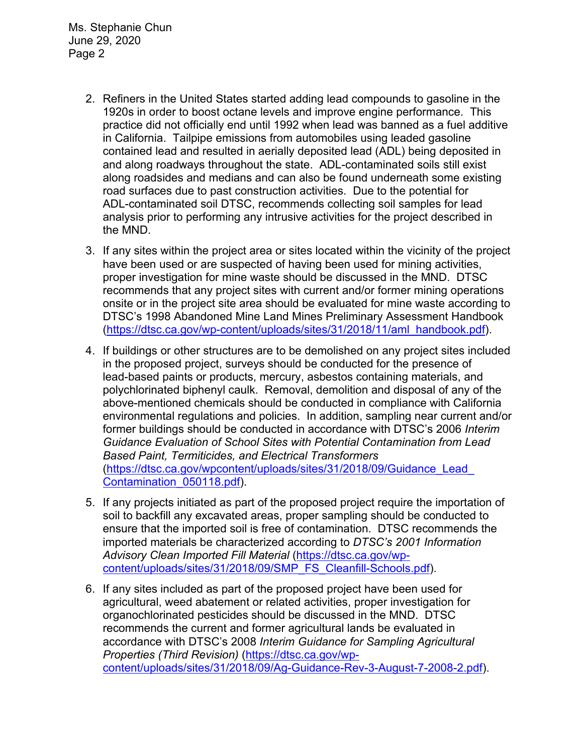Ms. Stephanie Chun June 29, 2020 Page 2

- 2. Refiners in the United States started adding lead compounds to gasoline in the 1920s in order to boost octane levels and improve engine performance. This practice did not officially end until 1992 when lead was banned as a fuel additive in California. Tailpipe emissions from automobiles using leaded gasoline contained lead and resulted in aerially deposited lead (ADL) being deposited in and along roadways throughout the state. ADL-contaminated soils still exist along roadsides and medians and can also be found underneath some existing road surfaces due to past construction activities. Due to the potential for ADL-contaminated soil DTSC, recommends collecting soil samples for lead analysis prior to performing any intrusive activities for the project described in the MND.
- 3. If any sites within the project area or sites located within the vicinity of the project have been used or are suspected of having been used for mining activities, proper investigation for mine waste should be discussed in the MND. DTSC recommends that any project sites with current and/or former mining operations onsite or in the project site area should be evaluated for mine waste according to DTSC's 1998 Abandoned Mine Land Mines Preliminary Assessment Handbook [\(https://dtsc.ca.gov/wp-content/uploads/sites/31/2018/11/aml\\_handbook.pdf\)](https://dtsc.ca.gov/wp-content/uploads/sites/31/2018/11/aml_handbook.pdf).
- 4. If buildings or other structures are to be demolished on any project sites included in the proposed project, surveys should be conducted for the presence of lead-based paints or products, mercury, asbestos containing materials, and polychlorinated biphenyl caulk. Removal, demolition and disposal of any of the above-mentioned chemicals should be conducted in compliance with California environmental regulations and policies. In addition, sampling near current and/or former buildings should be conducted in accordance with DTSC's 2006 *Interim Guidance Evaluation of School Sites with Potential Contamination from Lead Based Paint, Termiticides, and Electrical Transformers* [\(https://dtsc.ca.gov/wpcontent/uploads/sites/31/2018/09/Guidance\\_Lead\\_](https://gcc02.safelinks.protection.outlook.com/?url=https%3A%2F%2Fdtsc.ca.gov%2Fwp-content%2Fuploads%2Fsites%2F31%2F2018%2F09%2FGuidance_Lead_Contamination_050118.pdf&data=02%7C01%7C%7C5d5d271a38734f176ff008d74b61ecfd%7C3f4ffbf4c7604c2abab8c63ef4bd2439%7C0%7C0%7C637060756261296590&sdata=1JGWitJI6nMkU%2FVDzi0GYiam5nl8DLJhkRmLCticfdA%3D&reserved=0)  [Contamination\\_050118.pdf\)](https://gcc02.safelinks.protection.outlook.com/?url=https%3A%2F%2Fdtsc.ca.gov%2Fwp-content%2Fuploads%2Fsites%2F31%2F2018%2F09%2FGuidance_Lead_Contamination_050118.pdf&data=02%7C01%7C%7C5d5d271a38734f176ff008d74b61ecfd%7C3f4ffbf4c7604c2abab8c63ef4bd2439%7C0%7C0%7C637060756261296590&sdata=1JGWitJI6nMkU%2FVDzi0GYiam5nl8DLJhkRmLCticfdA%3D&reserved=0).
- 5. If any projects initiated as part of the proposed project require the importation of soil to backfill any excavated areas, proper sampling should be conducted to ensure that the imported soil is free of contamination. DTSC recommends the imported materials be characterized according to *DTSC's 2001 Information Advisory Clean Imported Fill Material* [\(https://dtsc.ca.gov/wp](https://dtsc.ca.gov/wp-content/uploads/sites/31/2018/09/SMP_FS_Cleanfill-Schools.pdf)[content/uploads/sites/31/2018/09/SMP\\_FS\\_Cleanfill-Schools.pdf\)](https://dtsc.ca.gov/wp-content/uploads/sites/31/2018/09/SMP_FS_Cleanfill-Schools.pdf).
- 6. If any sites included as part of the proposed project have been used for agricultural, weed abatement or related activities, proper investigation for organochlorinated pesticides should be discussed in the MND. DTSC recommends the current and former agricultural lands be evaluated in accordance with DTSC's 2008 *Interim Guidance for Sampling Agricultural Properties (Third Revision)* [\(https://dtsc.ca.gov/wp](https://dtsc.ca.gov/wp-content/uploads/sites/31/2018/09/Ag-Guidance-Rev-3-August-7-2008-2.pdf)[content/uploads/sites/31/2018/09/Ag-Guidance-Rev-3-August-7-2008-2.pdf\)](https://dtsc.ca.gov/wp-content/uploads/sites/31/2018/09/Ag-Guidance-Rev-3-August-7-2008-2.pdf).